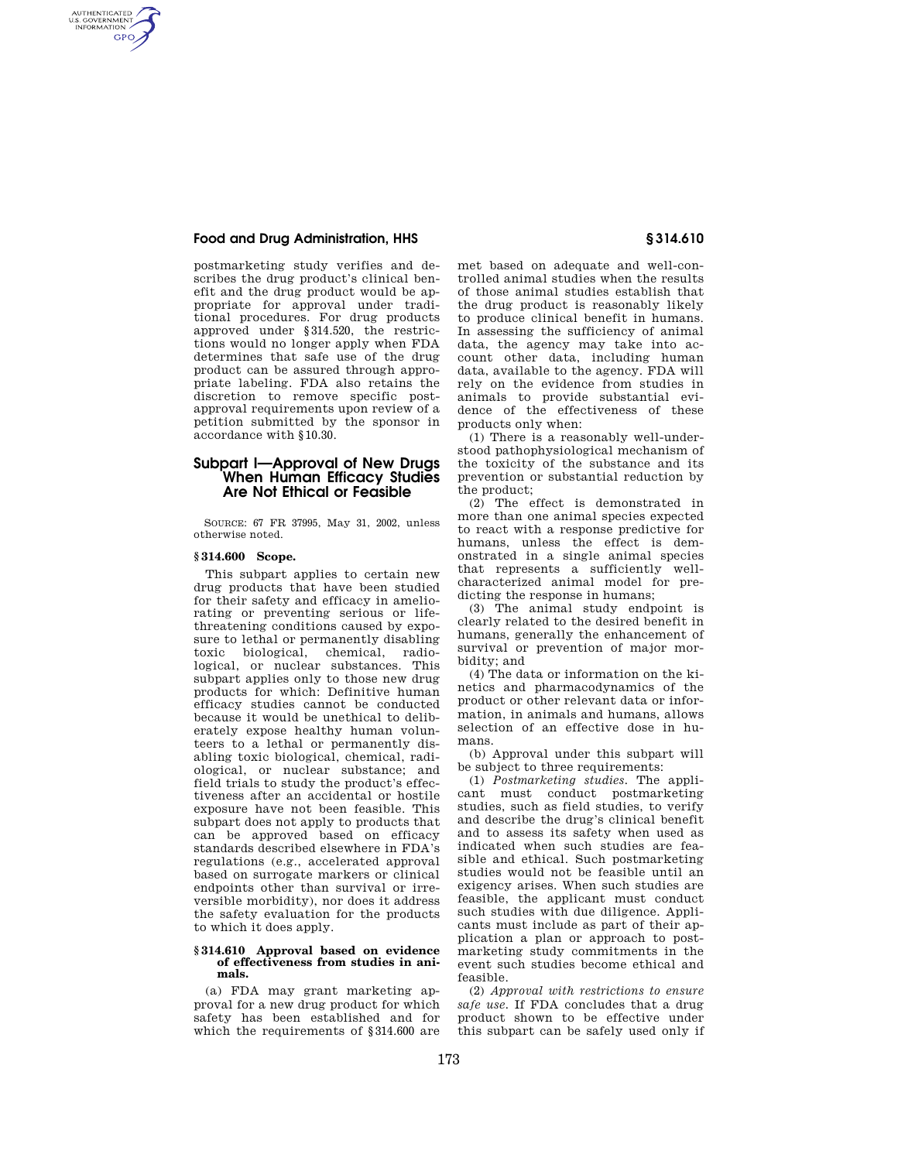### **Food and Drug Administration, HHS § 314.610**

AUTHENTICATED<br>U.S. GOVERNMENT<br>INFORMATION **GPO** 

> postmarketing study verifies and describes the drug product's clinical benefit and the drug product would be appropriate for approval under traditional procedures. For drug products approved under §314.520, the restrictions would no longer apply when FDA determines that safe use of the drug product can be assured through appropriate labeling. FDA also retains the discretion to remove specific postapproval requirements upon review of a petition submitted by the sponsor in accordance with §10.30.

# **Subpart I—Approval of New Drugs When Human Efficacy Studies Are Not Ethical or Feasible**

SOURCE: 67 FR 37995, May 31, 2002, unless otherwise noted.

## **§ 314.600 Scope.**

This subpart applies to certain new drug products that have been studied for their safety and efficacy in ameliorating or preventing serious or lifethreatening conditions caused by exposure to lethal or permanently disabling toxic biological, chemical, radiological, or nuclear substances. This subpart applies only to those new drug products for which: Definitive human efficacy studies cannot be conducted because it would be unethical to deliberately expose healthy human volunteers to a lethal or permanently disabling toxic biological, chemical, radiological, or nuclear substance; and field trials to study the product's effectiveness after an accidental or hostile exposure have not been feasible. This subpart does not apply to products that can be approved based on efficacy standards described elsewhere in FDA's regulations (e.g., accelerated approval based on surrogate markers or clinical endpoints other than survival or irreversible morbidity), nor does it address the safety evaluation for the products to which it does apply.

#### **§ 314.610 Approval based on evidence of effectiveness from studies in animals.**

(a) FDA may grant marketing approval for a new drug product for which safety has been established and for which the requirements of §314.600 are met based on adequate and well-controlled animal studies when the results of those animal studies establish that the drug product is reasonably likely to produce clinical benefit in humans. In assessing the sufficiency of animal data, the agency may take into account other data, including human data, available to the agency. FDA will rely on the evidence from studies in animals to provide substantial evidence of the effectiveness of these products only when:

(1) There is a reasonably well-understood pathophysiological mechanism of the toxicity of the substance and its prevention or substantial reduction by the product:

(2) The effect is demonstrated in more than one animal species expected to react with a response predictive for humans, unless the effect is demonstrated in a single animal species that represents a sufficiently wellcharacterized animal model for predicting the response in humans;

(3) The animal study endpoint is clearly related to the desired benefit in humans, generally the enhancement of survival or prevention of major morbidity; and

(4) The data or information on the kinetics and pharmacodynamics of the product or other relevant data or information, in animals and humans, allows selection of an effective dose in humans.

(b) Approval under this subpart will be subject to three requirements:

(1) *Postmarketing studies.* The applicant must conduct postmarketing studies, such as field studies, to verify and describe the drug's clinical benefit and to assess its safety when used as indicated when such studies are feasible and ethical. Such postmarketing studies would not be feasible until an exigency arises. When such studies are feasible, the applicant must conduct such studies with due diligence. Applicants must include as part of their application a plan or approach to postmarketing study commitments in the event such studies become ethical and feasible.

(2) *Approval with restrictions to ensure safe use.* If FDA concludes that a drug product shown to be effective under this subpart can be safely used only if